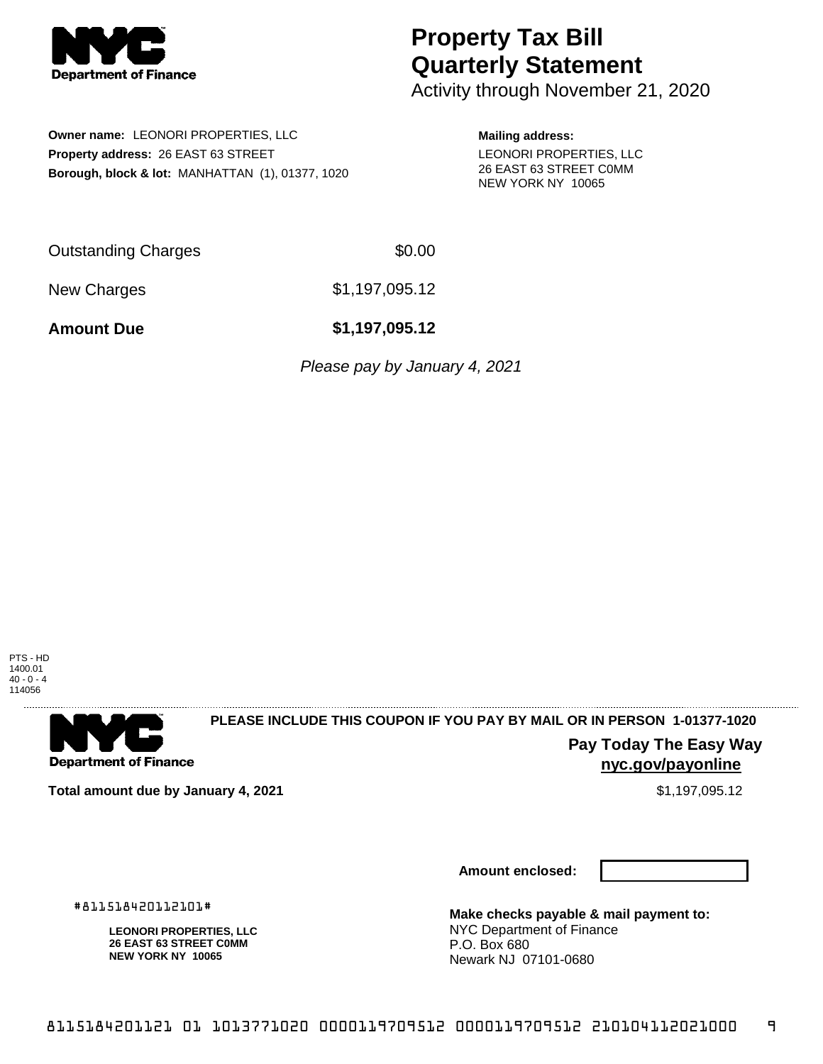

# **Property Tax Bill Quarterly Statement**

Activity through November 21, 2020

**Owner name:** LEONORI PROPERTIES, LLC **Property address:** 26 EAST 63 STREET **Borough, block & lot:** MANHATTAN (1), 01377, 1020

### **Mailing address:**

LEONORI PROPERTIES, LLC 26 EAST 63 STREET C0MM NEW YORK NY 10065

Outstanding Charges \$0.00

New Charges \$1,197,095.12

**Amount Due \$1,197,095.12**

Please pay by January 4, 2021

PTS - HD 1400.01 40 - 0 - 4 114056

. . . . . . . . . . . . . . . .



## **PLEASE INCLUDE THIS COUPON IF YOU PAY BY MAIL OR IN PERSON 1-01377-1020**

**Pay Today The Easy Way nyc.gov/payonline**

**Total amount due by January 4, 2021 6.12 \$1,197,095.12** \$1,197,095.12

**Amount enclosed:**

#811518420112101#

**LEONORI PROPERTIES, LLC 26 EAST 63 STREET C0MM NEW YORK NY 10065**

**Make checks payable & mail payment to:** NYC Department of Finance P.O. Box 680 Newark NJ 07101-0680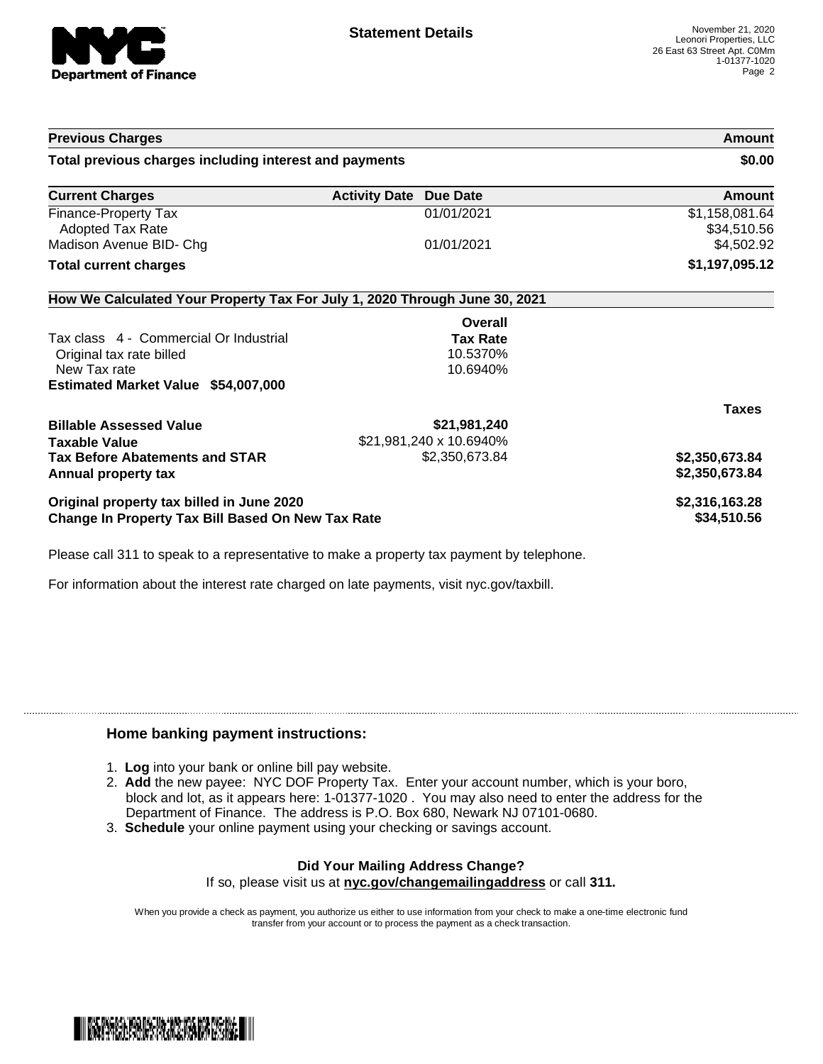

| <b>Previous Charges</b><br>Total previous charges including interest and payments |                         | Amount<br>\$0.00              |
|-----------------------------------------------------------------------------------|-------------------------|-------------------------------|
|                                                                                   |                         |                               |
| <b>Finance-Property Tax</b><br><b>Adopted Tax Rate</b>                            | 01/01/2021              | \$1,158,081.64<br>\$34,510.56 |
| Madison Avenue BID- Chg                                                           | 01/01/2021              | \$4,502.92                    |
| <b>Total current charges</b>                                                      |                         | \$1,197,095.12                |
| How We Calculated Your Property Tax For July 1, 2020 Through June 30, 2021        |                         |                               |
|                                                                                   | Overall                 |                               |
| Tax class 4 - Commercial Or Industrial                                            | <b>Tax Rate</b>         |                               |
| Original tax rate billed                                                          | 10.5370%                |                               |
| New Tax rate                                                                      | 10.6940%                |                               |
| Estimated Market Value \$54,007,000                                               |                         |                               |
|                                                                                   |                         | <b>Taxes</b>                  |
| <b>Billable Assessed Value</b>                                                    | \$21,981,240            |                               |
| <b>Taxable Value</b>                                                              | \$21,981,240 x 10.6940% |                               |
| <b>Tax Before Abatements and STAR</b>                                             | \$2,350,673.84          | \$2,350,673.84                |
| Annual property tax                                                               |                         | \$2,350,673.84                |
| Original property tax billed in June 2020                                         |                         | \$2,316,163.28                |
| Change In Property Tax Bill Based On New Tax Rate                                 |                         | \$34,510.56                   |

Please call 311 to speak to a representative to make a property tax payment by telephone.

For information about the interest rate charged on late payments, visit nyc.gov/taxbill.

### **Home banking payment instructions:**

- 1. **Log** into your bank or online bill pay website.
- 2. **Add** the new payee: NYC DOF Property Tax. Enter your account number, which is your boro, block and lot, as it appears here: 1-01377-1020 . You may also need to enter the address for the Department of Finance. The address is P.O. Box 680, Newark NJ 07101-0680.
- 3. **Schedule** your online payment using your checking or savings account.

### **Did Your Mailing Address Change?** If so, please visit us at **nyc.gov/changemailingaddress** or call **311.**

When you provide a check as payment, you authorize us either to use information from your check to make a one-time electronic fund transfer from your account or to process the payment as a check transaction.